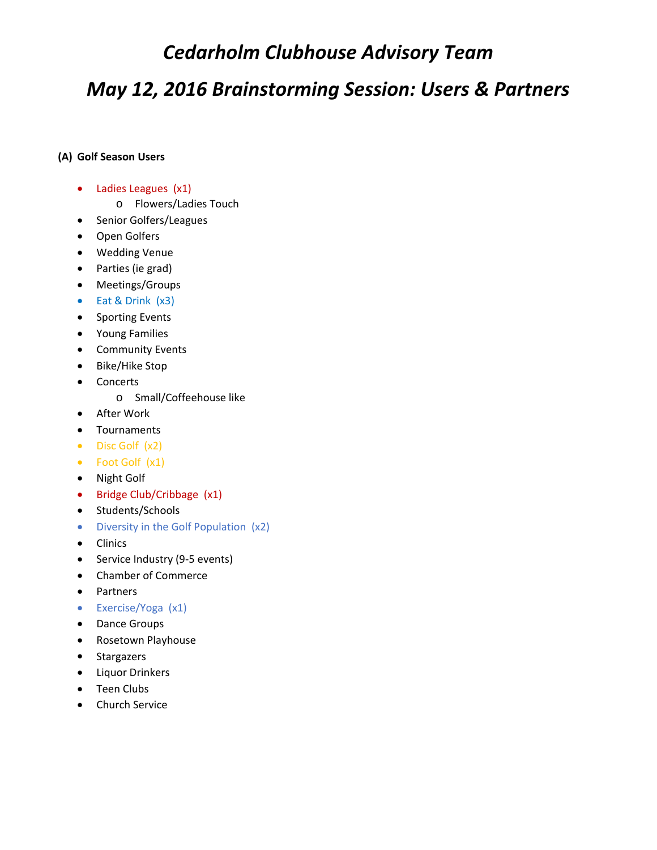## *Cedarholm Clubhouse Advisory Team*

# *May 12, 2016 Brainstorming Session: Users & Partners*

#### **(A) Golf Season Users**

- Ladies Leagues (x1)
	- o Flowers/Ladies Touch
- Senior Golfers/Leagues
- Open Golfers
- Wedding Venue
- Parties (ie grad)
- Meetings/Groups
- Eat & Drink (x3)
- Sporting Events
- Young Families
- Community Events
- Bike/Hike Stop
- Concerts
	- o Small/Coffeehouse like
- After Work
- Tournaments
- Disc Golf (x2)
- Foot Golf (x1)
- Night Golf
- Bridge Club/Cribbage (x1)
- Students/Schools
- Diversity in the Golf Population (x2)
- Clinics
- Service Industry (9-5 events)
- Chamber of Commerce
- Partners
- Exercise/Yoga (x1)
- Dance Groups
- Rosetown Playhouse
- Stargazers
- **•** Liquor Drinkers
- Teen Clubs
- **•** Church Service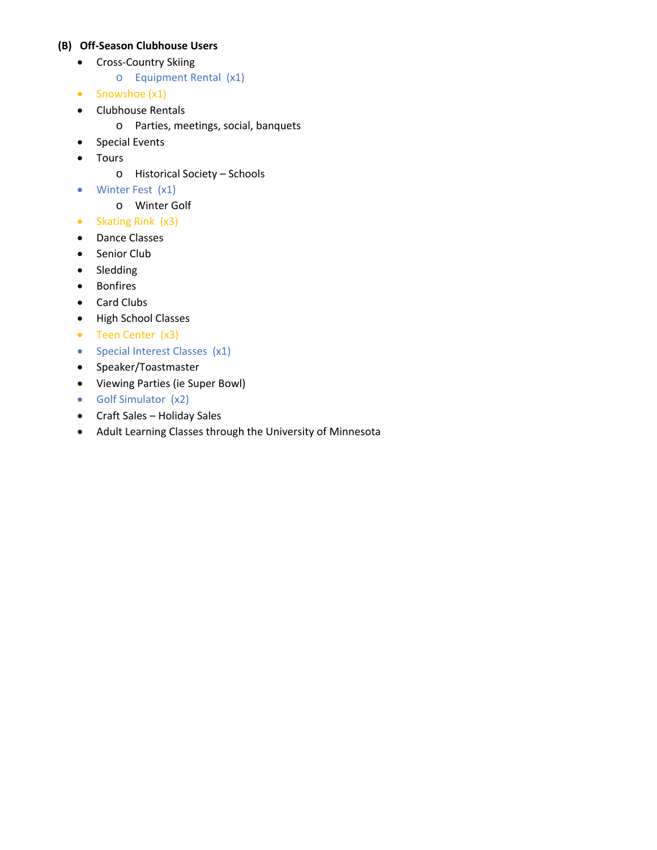#### **(B) Off‐Season Clubhouse Users**

- Cross‐Country Skiing
	- o Equipment Rental (x1)
- Snowshoe (x1)
- Clubhouse Rentals
	- o Parties, meetings, social, banquets
- Special Events
- Tours
	- o Historical Society Schools
- Winter Fest (x1)
	- o Winter Golf
- Skating Rink (x3)
- Dance Classes
- Senior Club
- Sledding
- Bonfires
- Card Clubs
- High School Classes
- Teen Center (x3)
- Special Interest Classes (x1)
- Speaker/Toastmaster
- Viewing Parties (ie Super Bowl)
- Golf Simulator (x2)
- Craft Sales Holiday Sales
- Adult Learning Classes through the University of Minnesota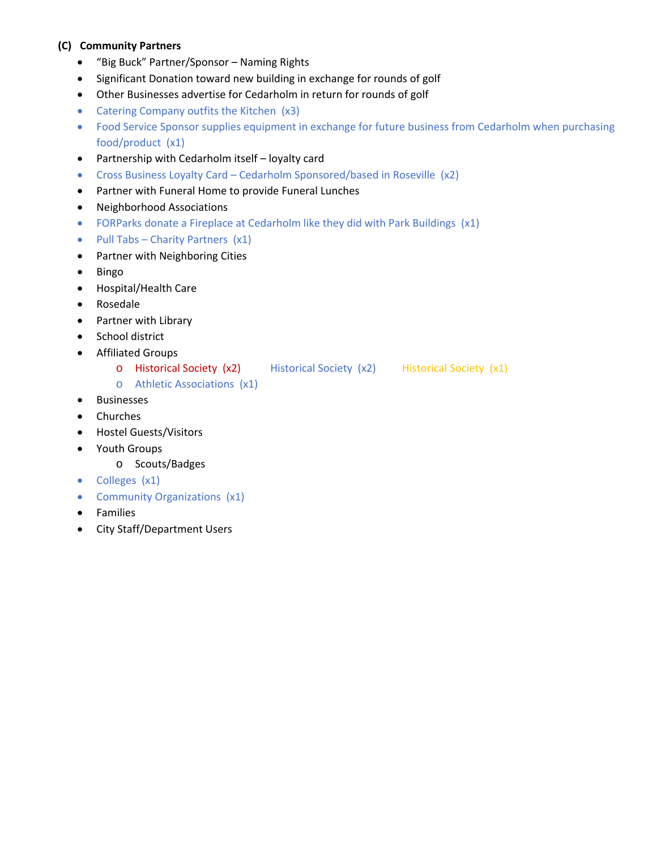### **(C) Community Partners**

- "Big Buck" Partner/Sponsor Naming Rights
- Significant Donation toward new building in exchange for rounds of golf
- Other Businesses advertise for Cedarholm in return for rounds of golf
- Catering Company outfits the Kitchen (x3)
- Food Service Sponsor supplies equipment in exchange for future business from Cedarholm when purchasing food/product (x1)
- Partnership with Cedarholm itself loyalty card
- Cross Business Loyalty Card Cedarholm Sponsored/based in Roseville (x2)
- Partner with Funeral Home to provide Funeral Lunches
- Neighborhood Associations
- FORParks donate a Fireplace at Cedarholm like they did with Park Buildings (x1)
- Pull Tabs Charity Partners  $(x1)$
- Partner with Neighboring Cities
- Bingo
- Hospital/Health Care
- Rosedale
- Partner with Library
- School district
- Affiliated Groups
	- o Historical Society (x2) Historical Society (x2) Historical Society (x1)
	- o Athletic Associations (x1)
- **•** Businesses
- Churches
- Hostel Guests/Visitors
- Youth Groups
	- o Scouts/Badges
- Colleges (x1)
- Community Organizations (x1)
- Families
- City Staff/Department Users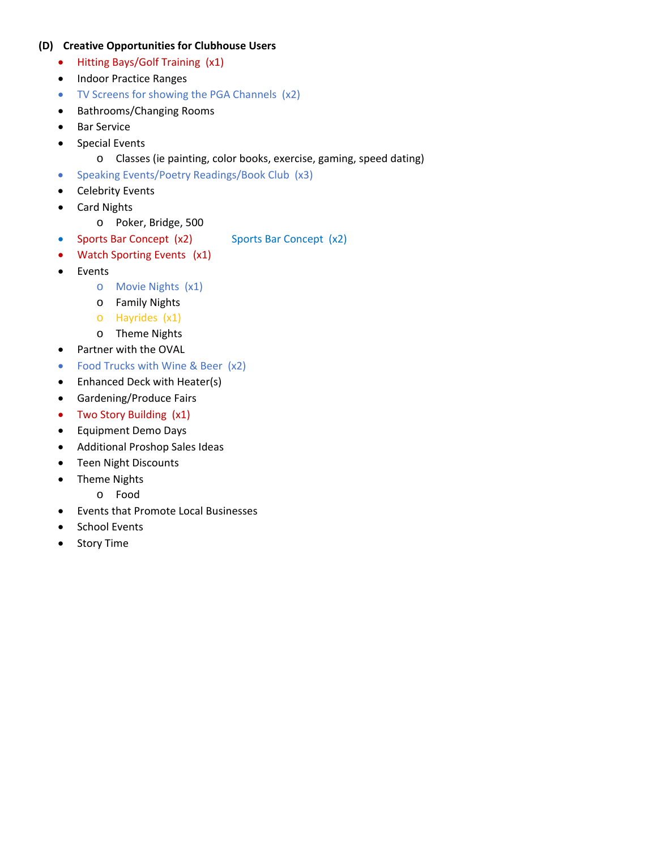#### **(D) Creative Opportunities for Clubhouse Users**

- Hitting Bays/Golf Training (x1)
- Indoor Practice Ranges
- TV Screens for showing the PGA Channels (x2)
- Bathrooms/Changing Rooms
- Bar Service
- Special Events
	- o Classes (ie painting, color books, exercise, gaming, speed dating)
- Speaking Events/Poetry Readings/Book Club (x3)
- Celebrity Events
- Card Nights
	- o Poker, Bridge, 500
- Sports Bar Concept (x2) Sports Bar Concept (x2)
- Watch Sporting Events (x1)
- Events
	- o Movie Nights (x1)
	- o Family Nights
	- o Hayrides (x1)
	- o Theme Nights
- Partner with the OVAL
- Food Trucks with Wine & Beer (x2)
- Enhanced Deck with Heater(s)
- Gardening/Produce Fairs
- Two Story Building (x1)
- Equipment Demo Days
- Additional Proshop Sales Ideas
- Teen Night Discounts
- Theme Nights
	- o Food
- Events that Promote Local Businesses
- School Events
- Story Time